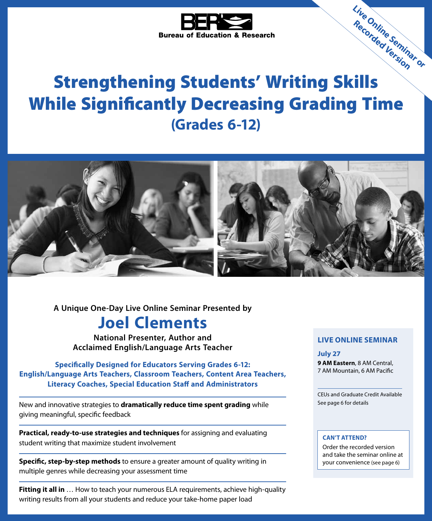

# Strengthening Students' Writing Skills While Significantly Decreasing Grading Time **(Grades 6-12)**



**A Unique One-Day Live Online Seminar Presented by**

# **Joel Clements**

**National Presenter, Author and Acclaimed English/Language Arts Teacher**

**Specifically Designed for Educators Serving Grades 6-12: English/Language Arts Teachers, Classroom Teachers, Content Area Teachers, Literacy Coaches, Special Education Staff and Administrators**

New and innovative strategies to **dramatically reduce time spent grading** while giving meaningful, specific feedback

**Practical, ready-to-use strategies and techniques** for assigning and evaluating student writing that maximize student involvement

**Specific, step-by-step methods** to ensure a greater amount of quality writing in multiple genres while decreasing your assessment time

**Fitting it all in** … How to teach your numerous ELA requirements, achieve high-quality writing results from all your students and reduce your take-home paper load

### **LIVE ONLINE SEMINAR**

**Live Online Seminar or Recorded Version**

#### **July 27**

**9 AM Eastern**, 8 AM Central, 7 AM Mountain, 6 AM Pacific

CEUs and Graduate Credit Available See page 6 for details

### **CAN'T ATTEND?**

Order the recorded version and take the seminar online at your convenience (see page 6)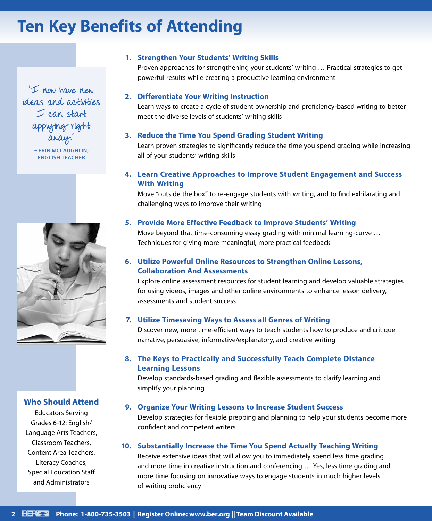# **Ten Key Benefits of Attending**

"I now have new ideas and activities I can start applying right away." **– ERIN MCLAUGHLIN, ENGLISH TEACHER**



### **Who Should Attend**

Educators Serving Grades 6-12: English/ Language Arts Teachers, Classroom Teachers, Content Area Teachers, Literacy Coaches, Special Education Staff and Administrators

### **1. Strengthen Your Students' Writing Skills**

Proven approaches for strengthening your students' writing … Practical strategies to get powerful results while creating a productive learning environment

### **2. Differentiate Your Writing Instruction**

Learn ways to create a cycle of student ownership and proficiency-based writing to better meet the diverse levels of students' writing skills

### **3. Reduce the Time You Spend Grading Student Writing**

Learn proven strategies to significantly reduce the time you spend grading while increasing all of your students' writing skills

### **4. Learn Creative Approaches to Improve Student Engagement and Success With Writing**

Move "outside the box" to re-engage students with writing, and to find exhilarating and challenging ways to improve their writing

### **5. Provide More Effective Feedback to Improve Students' Writing**

Move beyond that time-consuming essay grading with minimal learning-curve … Techniques for giving more meaningful, more practical feedback

## **6. Utilize Powerful Online Resources to Strengthen Online Lessons, Collaboration And Assessments**

Explore online assessment resources for student learning and develop valuable strategies for using videos, images and other online environments to enhance lesson delivery, assessments and student success

### **7. Utilize Timesaving Ways to Assess all Genres of Writing**

Discover new, more time-efficient ways to teach students how to produce and critique narrative, persuasive, informative/explanatory, and creative writing

### **8. The Keys to Practically and Successfully Teach Complete Distance Learning Lessons**

Develop standards-based grading and flexible assessments to clarify learning and simplify your planning

### **9. Organize Your Writing Lessons to Increase Student Success**

Develop strategies for flexible prepping and planning to help your students become more confident and competent writers

### **10. Substantially Increase the Time You Spend Actually Teaching Writing**

Receive extensive ideas that will allow you to immediately spend less time grading and more time in creative instruction and conferencing … Yes, less time grading and more time focusing on innovative ways to engage students in much higher levels of writing proficiency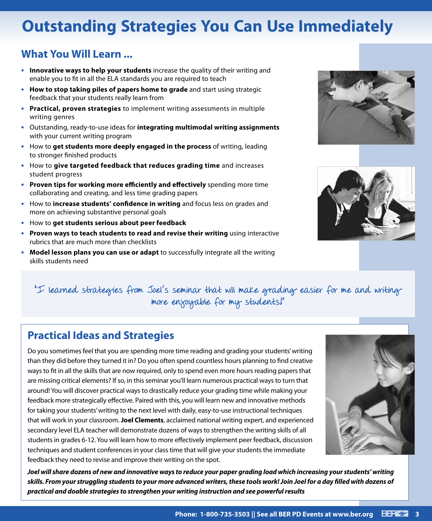# **Outstanding Strategies You Can Use Immediately**

# **What You Will Learn ...**

- **• Innovative ways to help your students** increase the quality of their writing and enable you to fit in all the ELA standards you are required to teach
- **• How to stop taking piles of papers home to grade** and start using strategic feedback that your students really learn from
- **• Practical, proven strategies** to implement writing assessments in multiple writing genres
- **•** Outstanding, ready-to-use ideas for **integrating multimodal writing assignments** with your current writing program
- **•** How to **get students more deeply engaged in the process** of writing, leading to stronger finished products
- **•** How to **give targeted feedback that reduces grading time** and increases student progress
- **• Proven tips for working more efficiently and effectively** spending more time collaborating and creating, and less time grading papers
- **•** How to **increase students' confidence in writing** and focus less on grades and more on achieving substantive personal goals
- **•** How to **get students serious about peer feedback**
- **• Proven ways to teach students to read and revise their writing** using interactive rubrics that are much more than checklists
- **• Model lesson plans you can use or adapt** to successfully integrate all the writing skills students need





"I learned strategies from Joel's seminar that will make grading easier for me and writing more enjoyable for my students!"

# **Practical Ideas and Strategies**

Do you sometimes feel that you are spending more time reading and grading your students' writing than they did before they turned it in? Do you often spend countless hours planning to find creative ways to fit in all the skills that are now required, only to spend even more hours reading papers that are missing critical elements? If so, in this seminar you'll learn numerous practical ways to turn that around! You will discover practical ways to drastically reduce your grading time while making your feedback more strategically effective. Paired with this, you will learn new and innovative methods for taking your students' writing to the next level with daily, easy-to-use instructional techniques that will work in your classroom. **Joel Clements**, acclaimed national writing expert, and experienced secondary level ELA teacher will demonstrate dozens of ways to strengthen the writing skills of all students in grades 6-12. You will learn how to more effectively implement peer feedback, discussion techniques and student conferences in your class time that will give your students the immediate feedback they need to revise and improve their writing on the spot.



*Joel will share dozens of new and innovative ways to reduce your paper grading load which increasing your students' writing skills. From your struggling students to your more advanced writers, these tools work! Join Joel for a day filled with dozens of practical and doable strategies to strengthen your writing instruction and see powerful results*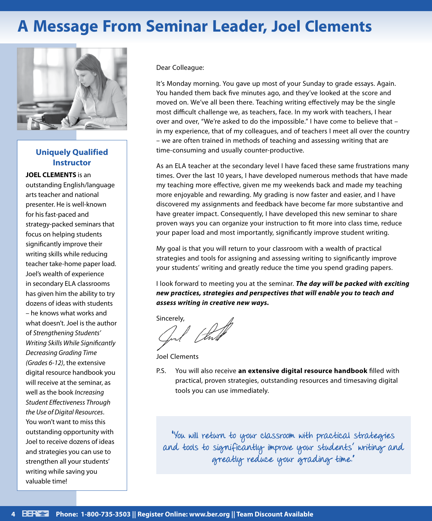# **A Message From Seminar Leader, Joel Clements**



## **Uniquely Qualified Instructor**

**JOEL CLEMENTS** is an outstanding English/language arts teacher and national presenter. He is well-known for his fast-paced and strategy-packed seminars that focus on helping students significantly improve their writing skills while reducing teacher take-home paper load. Joel's wealth of experience in secondary ELA classrooms has given him the ability to try dozens of ideas with students – he knows what works and what doesn't. Joel is the author of *Strengthening Students' Writing Skills While Significantly Decreasing Grading Time (Grades 6-12)*, the extensive digital resource handbook you will receive at the seminar, as well as the book *Increasing Student Effectiveness Through the Use of Digital Resources*. You won't want to miss this outstanding opportunity with Joel to receive dozens of ideas and strategies you can use to strengthen all your students' writing while saving you valuable time!

Dear Colleague:

It's Monday morning. You gave up most of your Sunday to grade essays. Again. You handed them back five minutes ago, and they've looked at the score and moved on. We've all been there. Teaching writing effectively may be the single most difficult challenge we, as teachers, face. In my work with teachers, I hear over and over, "We're asked to do the impossible." I have come to believe that – in my experience, that of my colleagues, and of teachers I meet all over the country – we are often trained in methods of teaching and assessing writing that are time-consuming and usually counter-productive.

As an ELA teacher at the secondary level I have faced these same frustrations many times. Over the last 10 years, I have developed numerous methods that have made my teaching more effective, given me my weekends back and made my teaching more enjoyable and rewarding. My grading is now faster and easier, and I have discovered my assignments and feedback have become far more substantive and have greater impact. Consequently, I have developed this new seminar to share proven ways you can organize your instruction to fit more into class time, reduce your paper load and most importantly, significantly improve student writing.

My goal is that you will return to your classroom with a wealth of practical strategies and tools for assigning and assessing writing to significantly improve your students' writing and greatly reduce the time you spend grading papers.

I look forward to meeting you at the seminar. *The day will be packed with exciting new practices, strategies and perspectives that will enable you to teach and assess writing in creative new ways.*

Sincerely,<br>Good (the *Strikt* 

Joel Clements

P.S. You will also receive **an extensive digital resource handbook** filled with practical, proven strategies, outstanding resources and timesaving digital tools you can use immediately.

"You will return to your classroom with practical strategies and tools to significantly improve your students' writing and greatly reduce your grading time."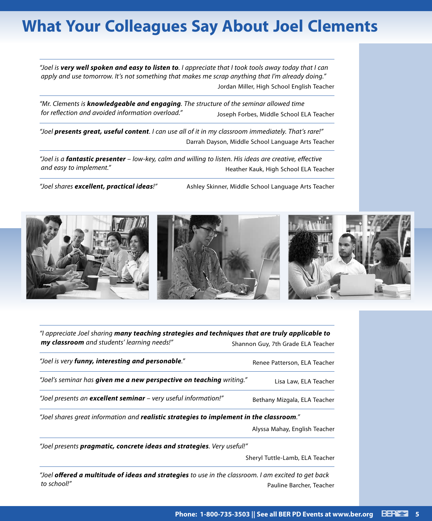# **What Your Colleagues Say About Joel Clements**

*"Joel is very well spoken and easy to listen to. I appreciate that I took tools away today that I can apply and use tomorrow. It's not something that makes me scrap anything that I'm already doing."* Jordan Miller, High School English Teacher

*"Mr. Clements is knowledgeable and engaging. The structure of the seminar allowed time for reflection and avoided information overload."* Joseph Forbes, Middle School ELA Teacher

*"Joel presents great, useful content. I can use all of it in my classroom immediately. That's rare!"* Darrah Dayson, Middle School Language Arts Teacher

*"Joel is a fantastic presenter – low-key, calm and willing to listen. His ideas are creative, effective*  and easy to implement." The actual team of the Heather Kauk, High School ELA Teacher

*"Joel shares excellent, practical ideas!"* Ashley Skinner, Middle School Language Arts Teacher



| "I appreciate Joel sharing many teaching strategies and techniques that are truly applicable to |                                    |
|-------------------------------------------------------------------------------------------------|------------------------------------|
| my classroom and students' learning needs!"                                                     | Shannon Guy, 7th Grade ELA Teacher |
| "Joel is very funny, interesting and personable."                                               | Renee Patterson, ELA Teacher       |
| "Joel's seminar has given me a new perspective on teaching writing."                            | Lisa Law, ELA Teacher              |
| "Joel presents an <b>excellent seminar</b> - very useful information!"                          | Bethany Mizgala, ELA Teacher       |
| "Joel shares great information and realistic strategies to implement in the classroom."         |                                    |
|                                                                                                 | Alyssa Mahay, English Teacher      |

*"Joel presents pragmatic, concrete ideas and strategies. Very useful!"*

Sheryl Tuttle-Lamb, ELA Teacher

*"Joel offered a multitude of ideas and strategies to use in the classroom. I am excited to get back*  **to school!"** Pauline Barcher, Teacher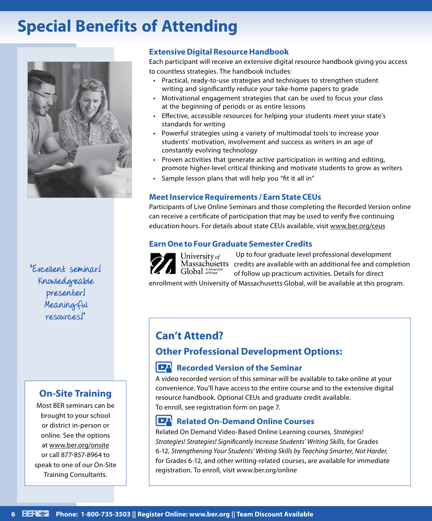# **Special Benefits of Attending**



"Excellent seminar! Knowledgeable presenter! Meaningful resources!"

## **On-Site Training**

Most BER seminars can be brought to your school or district in-person or online. See the options at www.ber.org/onsite or call 877-857-8964 to speak to one of our On-Site Training Consultants.

## **Extensive Digital Resource Handbook**

Each participant will receive an extensive digital resource handbook giving you access to countless strategies. The handbook includes:

- Practical, ready-to-use strategies and techniques to strengthen student writing and significantly reduce your take-home papers to grade
- Motivational engagement strategies that can be used to focus your class at the beginning of periods or as entire lessons
- Effective, accessible resources for helping your students meet your state's standards for writing
- Powerful strategies using a variety of multimodal tools to increase your students' motivation, involvement and success as writers in an age of constantly evolving technology
- Proven activities that generate active participation in writing and editing, promote higher-level critical thinking and motivate students to grow as writers
- Sample lesson plans that will help you "fit it all in"

## **Meet Inservice Requirements / Earn State CEUs**

Participants of Live Online Seminars and those completing the Recorded Version online can receive a certificate of participation that may be used to verify five continuing education hours. For details about state CEUs available, visit www.ber.org/ceus

### **Earn One to Four Graduate Semester Credits**

Up to four graduate level professional development University of Massachusetts credits are available with an additional fee and completion Global Anonprofi of follow up practicum activities. Details for direct

enrollment with University of Massachusetts Global, will be available at this program.

# **Can't Attend?**

## **Other Professional Development Options:**

## **Recorded Version of the Seminar**

A video recorded version of this seminar will be available to take online at your convenience. You'll have access to the entire course and to the extensive digital resource handbook. Optional CEUs and graduate credit available. To enroll, see registration form on page 7.

#### $\mathbf{R}$ **Related On-Demand Online Courses**

Related On Demand Video-Based Online Learning courses*, Strategies! Strategies! Strategies! Significantly Increase Students' Writing Skills,* for Grades 6-12, *Strengthening Your Students' Writing Skills by Teaching Smarter, Not Harder,*  for Grades 6-12, and other writing-related courses, are available for immediate registration. To enroll, visit www.ber.org/online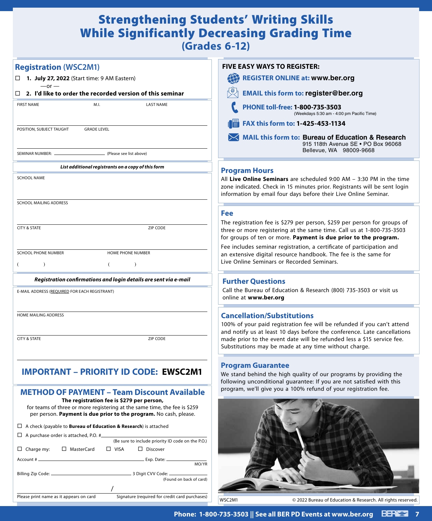# Strengthening Students' Writing Skills While Significantly Decreasing Grading Time **(Grades 6-12)**

| <b>Registration (WSC2M1)</b>                                                                                                                                                                | <b>FIVE EASY WAYS TO REGISTER:</b>                                                                                                                                                                                    |  |
|---------------------------------------------------------------------------------------------------------------------------------------------------------------------------------------------|-----------------------------------------------------------------------------------------------------------------------------------------------------------------------------------------------------------------------|--|
| □ 1. July 27, 2022 (Start time: 9 AM Eastern)                                                                                                                                               | <b>REGISTER ONLINE at: www.ber.org</b>                                                                                                                                                                                |  |
| $-or -$<br>$\Box$ 2. I'd like to order the recorded version of this seminar                                                                                                                 | <b>EMAIL this form to: register@ber.org</b>                                                                                                                                                                           |  |
| <b>FIRST NAME</b><br>M.I.<br><b>LAST NAME</b>                                                                                                                                               | PHONE toll-free: 1-800-735-3503<br>(Weekdays 5:30 am - 4:00 pm Pacific Time)                                                                                                                                          |  |
| POSITION, SUBJECT TAUGHT<br><b>GRADE LEVEL</b>                                                                                                                                              | FAX this form to: 1-425-453-1134<br><b>Bi</b>                                                                                                                                                                         |  |
|                                                                                                                                                                                             | MAIL this form to: Bureau of Education & Research<br>915 118th Avenue SE . PO Box 96068<br>Bellevue, WA 98009-9668                                                                                                    |  |
| SEMINAR NUMBER: _<br>(Please see list above)                                                                                                                                                |                                                                                                                                                                                                                       |  |
| List additional registrants on a copy of this form                                                                                                                                          | <b>Program Hours</b>                                                                                                                                                                                                  |  |
| <b>SCHOOL NAME</b>                                                                                                                                                                          | All Live Online Seminars are scheduled 9:00 AM - 3:30 PM in the time<br>zone indicated. Check in 15 minutes prior. Registrants will be sent login<br>information by email four days before their Live Online Seminar. |  |
| SCHOOL MAILING ADDRESS                                                                                                                                                                      |                                                                                                                                                                                                                       |  |
|                                                                                                                                                                                             | <b>Fee</b>                                                                                                                                                                                                            |  |
| <b>CITY &amp; STATE</b><br>ZIP CODE                                                                                                                                                         | The registration fee is \$279 per person, \$259 per person for groups of<br>three or more registering at the same time. Call us at 1-800-735-3503<br>for groups of ten or more. Payment is due prior to the program.  |  |
| <b>SCHOOL PHONE NUMBER</b><br>HOME PHONE NUMBER                                                                                                                                             | Fee includes seminar registration, a certificate of participation and<br>an extensive digital resource handbook. The fee is the same for                                                                              |  |
| $\lambda$<br>€<br>$\lambda$<br>- (                                                                                                                                                          | Live Online Seminars or Recorded Seminars.                                                                                                                                                                            |  |
| Registration confirmations and login details are sent via e-mail                                                                                                                            | <b>Further Questions</b>                                                                                                                                                                                              |  |
| E-MAIL ADDRESS (REQUIRED FOR EACH REGISTRANT)                                                                                                                                               | Call the Bureau of Education & Research (800) 735-3503 or visit us<br>online at www.ber.org                                                                                                                           |  |
| <b>HOME MAILING ADDRESS</b>                                                                                                                                                                 | <b>Cancellation/Substitutions</b><br>100% of your paid registration fee will be refunded if you can't attend<br>and notify us at least 10 days before the conference. Late cancellations                              |  |
| ZIP CODE<br><b>CITY &amp; STATE</b>                                                                                                                                                         | made prior to the event date will be refunded less a \$15 service fee.<br>Substitutions may be made at any time without charge.                                                                                       |  |
|                                                                                                                                                                                             | <b>Program Guarantee</b>                                                                                                                                                                                              |  |
| <b>IMPORTANT - PRIORITY ID CODE: EWSC2M1</b>                                                                                                                                                | We stand behind the high quality of our programs by providing the                                                                                                                                                     |  |
| <b>METHOD OF PAYMENT - Team Discount Available</b>                                                                                                                                          | following unconditional guarantee: If you are not satisfied with this<br>program, we'll give you a 100% refund of your registration fee.                                                                              |  |
| The registration fee is \$279 per person,<br>for teams of three or more registering at the same time, the fee is \$259<br>per person. Payment is due prior to the program. No cash, please. |                                                                                                                                                                                                                       |  |
| $\Box$ A check (payable to <b>Bureau of Education &amp; Research</b> ) is attached                                                                                                          |                                                                                                                                                                                                                       |  |
| $\Box$ A purchase order is attached, P.O. # $\Box$                                                                                                                                          |                                                                                                                                                                                                                       |  |
| (Be sure to include priority ID code on the P.O.)<br>□ MasterCard<br>$\Box$ VISA<br>$\Box$ Charge my:<br>$\Box$ Discover                                                                    |                                                                                                                                                                                                                       |  |
| Exp. Date:<br>Account #                                                                                                                                                                     |                                                                                                                                                                                                                       |  |
| MO/YR<br>Billing Zip Code: _____<br>(Found on back of card)                                                                                                                                 |                                                                                                                                                                                                                       |  |
|                                                                                                                                                                                             |                                                                                                                                                                                                                       |  |
| Signature (required for credit card purchases)<br>Please print name as it appears on card                                                                                                   | WSC2M1<br>© 2022 Bureau of Education & Research. All rights reserved.                                                                                                                                                 |  |